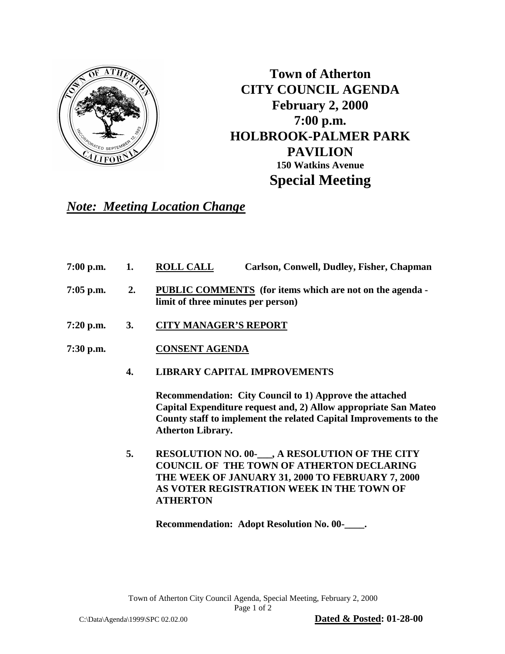

**Town of Atherton CITY COUNCIL AGENDA February 2, 2000 7:00 p.m. HOLBROOK-PALMER PARK PAVILION 150 Watkins Avenue Special Meeting**

## *Note: Meeting Location Change*

- **7:00 p.m. 1. ROLL CALL Carlson, Conwell, Dudley, Fisher, Chapman**
- **7:05 p.m. 2. PUBLIC COMMENTS (for items which are not on the agenda limit of three minutes per person)**
- **7:20 p.m. 3. CITY MANAGER'S REPORT**
- **7:30 p.m. CONSENT AGENDA** 
	- **4. LIBRARY CAPITAL IMPROVEMENTS**

**Recommendation: City Council to 1) Approve the attached Capital Expenditure request and, 2) Allow appropriate San Mateo County staff to implement the related Capital Improvements to the Atherton Library.**

 **5. RESOLUTION NO. 00-\_\_\_, A RESOLUTION OF THE CITY COUNCIL OF THE TOWN OF ATHERTON DECLARING THE WEEK OF JANUARY 31, 2000 TO FEBRUARY 7, 2000 AS VOTER REGISTRATION WEEK IN THE TOWN OF ATHERTON**

**Recommendation: Adopt Resolution No. 00-\_\_\_\_.**